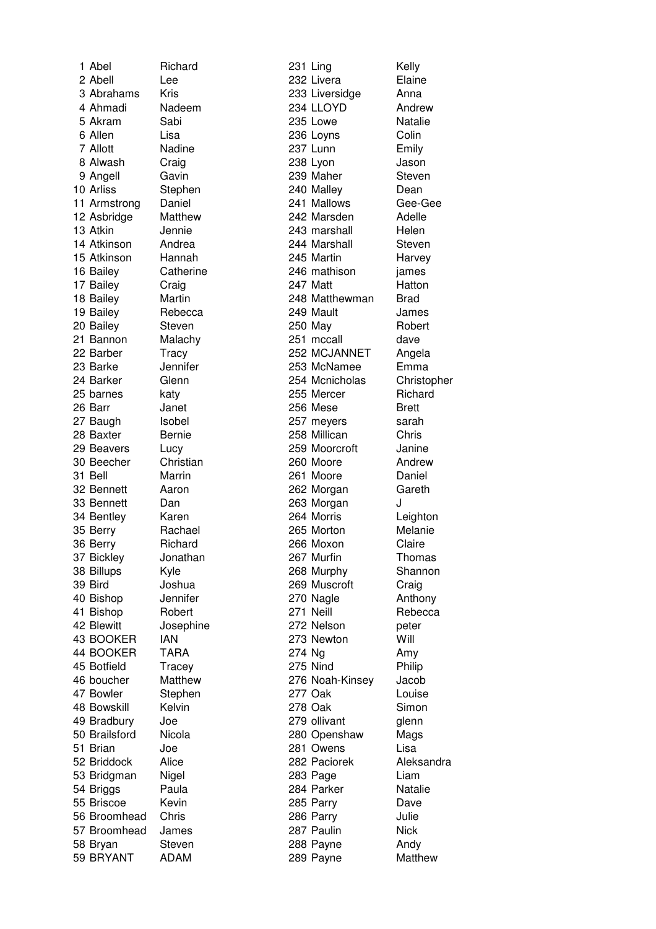1 Abel Richard 231 Ling Kelly 2 Abell Lee 232 Livera Elaine 3 Abrahams Kris 233 Liversidge Anna 4 Ahmadi Nadeem 234 LLOYD Andrew 5 Akram Sabi 235 Lowe Natalie 6 Allen Lisa 236 Loyns Colin 7 Allott Nadine 237 Lunn Emily 8 Alwash Craig 238 Lyon Jason 9 Angell Gavin 239 Maher Steven 10 Arliss Stephen 240 Malley Dean 11 Armstrong Daniel 241 Mallows Gee-Gee 12 Asbridge Matthew 242 Marsden Adelle 13 Atkin Jennie 243 marshall Helen 14 Atkinson Andrea 244 Marshall Steven 15 Atkinson Hannah 245 Martin Harvey 16 Bailey Catherine 246 mathison james 17 Bailey Craig Craig 247 Matt Hatton 18 Bailey Martin 248 Matthewman Brad 19 Bailey Rebecca 249 Mault James 20 Bailey Steven 250 May Robert 21 Bannon Malachy 251 mccall dave 22 Barber Tracy 252 MCJANNET Angela 23 Barke Jennifer 253 McNamee Emma 24 Barker Glenn 254 Mcnicholas Christopher 25 barnes katy 255 Mercer Richard 26 Barr Janet 256 Mese Brett 27 Baugh Isobel 257 meyers sarah 28 Baxter Bernie 258 Millican Chris 29 Beavers Lucy 259 Moorcroft Janine 30 Beecher Christian 260 Moore Andrew 31 Bell Marrin 261 Moore Daniel 32 Bennett Aaron 262 Morgan Gareth 33 Bennett Dan 263 Morgan J 34 Bentley Karen 264 Morris Leighton 35 Berry Rachael 265 Morton Melanie 36 Berry Richard 266 Moxon Claire 37 Bickley Jonathan 267 Murfin Thomas 38 Billups Kyle 268 Murphy Shannon 39 Bird Joshua 269 Muscroft Craig 40 Bishop Jennifer 270 Nagle Anthony 41 Bishop Robert 271 Neill Rebecca 42 Blewitt Josephine 272 Nelson peter 43 BOOKER IAN 273 Newton Will 44 BOOKER TARA 274 Ng Amy 45 Botfield Tracey 275 Nind Philip 46 boucher Matthew 276 Noah-Kinsey Jacob 47 Bowler Stephen 277 Oak Louise 48 Bowskill Kelvin 278 Oak Simon 49 Bradbury Joe 279 ollivant glenn 50 Brailsford Nicola 280 Openshaw Mags 51 Brian Joe 281 Owens Lisa 52 Briddock Alice 282 Paciorek Aleksandra 53 Bridgman Nigel 283 Page Liam 54 Briggs Paula 284 Parker Natalie 55 Briscoe Kevin 285 Parry Dave 56 Broomhead Chris 286 Parry Julie 57 Broomhead James 287 Paulin Nick 58 Bryan Steven 288 Payne Andy 59 BRYANT ADAM 289 Payne Matthew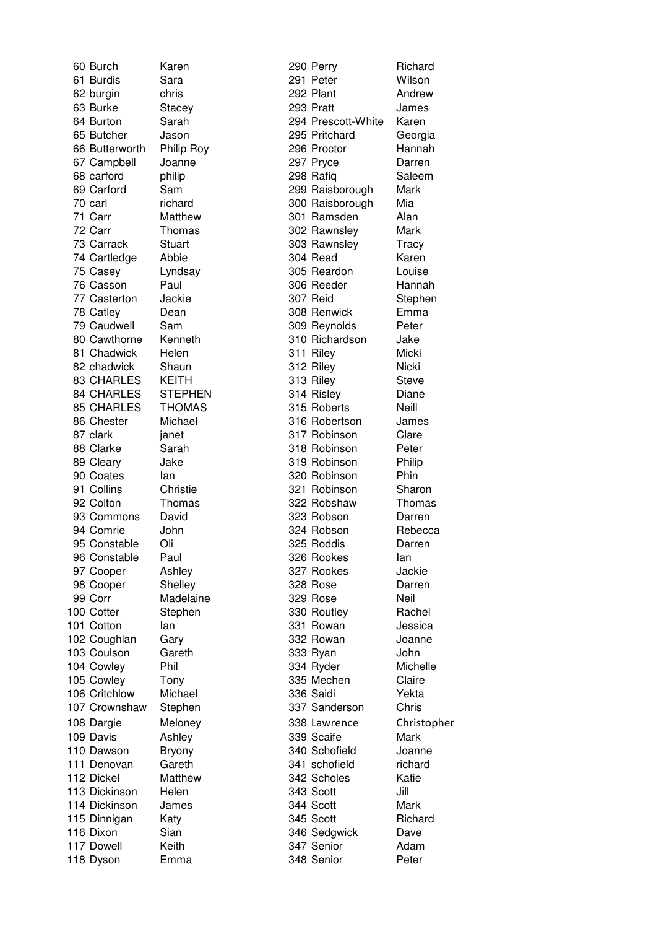60 Burch Karen 290 Perry Richard 61 Burdis Sara 291 Peter Wilson 62 burgin chris 292 Plant Andrew 63 Burke Stacey 293 Pratt James 64 Burton Sarah 294 Prescott-White Karen 65 Butcher Jason 295 Pritchard Georgia 66 Butterworth Philip Roy 296 Proctor Hannah 67 Campbell Joanne 297 Pryce Darren 68 carford philip 298 Rafiq Saleem 69 Carford Sam 299 Raisborough Mark 70 carl richard 300 Raisborough Mia 71 Carr Matthew 301 Ramsden Alan 72 Carr Thomas 302 Rawnsley Mark 73 Carrack Stuart 303 Rawnsley Tracy 74 Cartledge Abbie 304 Read Karen 75 Casey Lyndsay 305 Reardon Louise 76 Casson Paul 306 Reeder Hannah 77 Casterton Jackie 307 Reid Stephen 78 Catley Dean 308 Renwick Emma 79 Caudwell Sam 309 Reynolds Peter 80 Cawthorne Kenneth 310 Richardson Jake 81 Chadwick Helen 311 Riley Micki 82 chadwick Shaun 312 Riley Nicki 83 CHARLES KEITH 313 Riley Steve 84 CHARLES STEPHEN 314 Risley Diane 85 CHARLES THOMAS 315 Roberts Neill 86 Chester Michael 316 Robertson James 87 clark ianet ianet 317 Robinson Clare 88 Clarke Sarah 318 Robinson Peter 89 Cleary Jake 319 Robinson Philip 90 Coates Ian 220 Robinson Phin 91 Collins Christie 321 Robinson Sharon 92 Colton Thomas 322 Robshaw Thomas 93 Commons David 323 Robson Darren 94 Comrie John 324 Robson Rebecca 95 Constable Oli 325 Roddis Darren 96 Constable Paul 326 Rookes Ian 97 Cooper Ashley 327 Rookes Jackie 98 Cooper Shelley 328 Rose Darren 99 Corr Madelaine 329 Rose Neil 100 Cotter Stephen 330 Routley Rachel 101 Cotton Ian 101 Cotton Ian 101 Lessica 102 Coughlan Gary 332 Rowan Joanne 103 Coulson Gareth 333 Ryan John 104 Cowley Phil 334 Ryder Michelle 105 Cowley Tony 335 Mechen Claire 106 Critchlow Michael 336 Saidi Yekta 107 Crownshaw Stephen 337 Sanderson Chris 108 Dargie Meloney 338 Lawrence Christopher 109 Davis Ashley 339 Scaife Mark 110 Dawson Bryony 340 Schofield Joanne 111 Denovan Gareth 341 schofield richard 112 Dickel Matthew 342 Scholes Katie 113 Dickinson Helen 343 Scott Jill 114 Dickinson James 344 Scott Mark 115 Dinnigan Katy 345 Scott Richard 116 Dixon Sian 346 Sedawick Dave 117 Dowell Keith 347 Senior Adam 118 Dyson Emma 348 Senior Peter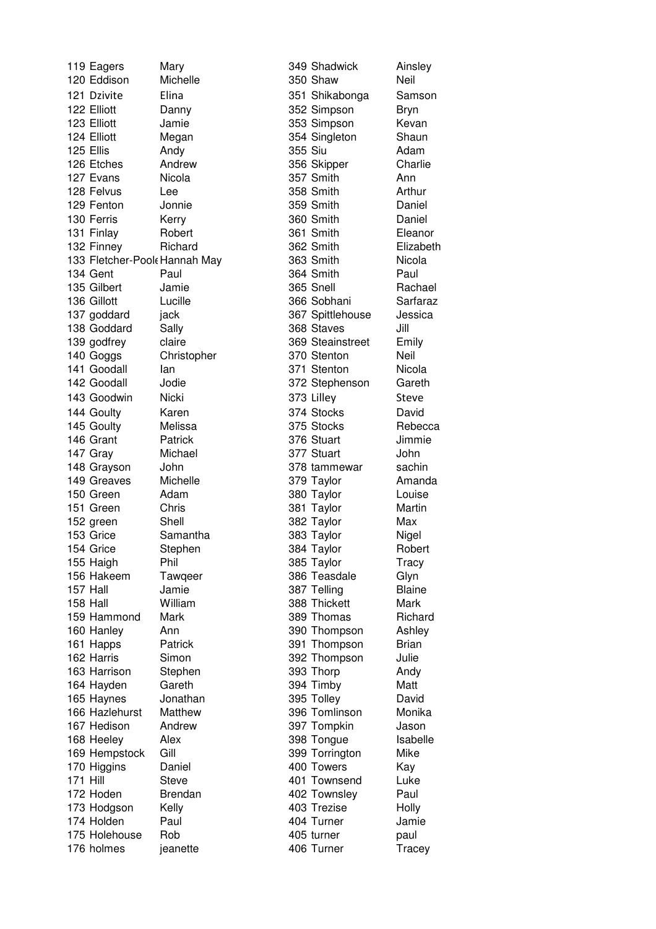120 Eddison Michelle 350 Shaw Neil 121 Dzivite Elina 351 Shikabonga Samson 122 Elliott Danny 352 Simpson Bryn 123 Elliott Jamie 353 Simpson Kevan 124 Elliott Megan 354 Singleton Shaun 125 Ellis Andy 355 Siu Adam 126 Etches Andrew 356 Skipper Charlie 127 Evans Nicola 357 Smith Ann 128 Felvus Lee **358 Smith** Arthur 129 Fenton Jonnie 359 Smith Daniel 130 Ferris Kerry 1360 Smith Daniel 131 Finlay Robert 361 Smith Eleanor 132 Finney Richard 362 Smith Elizabeth 133 Fletcher-Pool Hannah May 363 Smith Nicola 134 Gent Paul 264 Smith Paul 135 Gilbert Jamie 365 Snell Rachael 136 Gillott Lucille 366 Sobhani Sarfaraz 137 goddard jack 367 Spittlehouse Jessica 138 Goddard Sally 368 Staves Jill 139 godfrey claire 369 Steainstreet Emily 140 Goggs Christopher 370 Stenton Neil 141 Goodall Ian 271 Stenton Nicola 142 Goodall Jodie 372 Stephenson Gareth 143 Goodwin Nicki 373 Lilley Steve 144 Goulty Karen 144 Stocks David 145 Goulty Melissa 375 Stocks Rebecca 146 Grant Patrick 376 Stuart Jimmie 147 Gray Michael 377 Stuart John 148 Grayson John 378 tammewar sachin 149 Greaves Michelle 379 Taylor Amanda 150 Green Adam 380 Taylor Louise 151 Green Chris 381 Taylor Martin 152 green Shell 382 Taylor Max 153 Grice Samantha 383 Taylor Nigel 154 Grice Stephen 384 Taylor Robert 155 Haigh Phil 385 Taylor Tracy 156 Hakeem Tawqeer 386 Teasdale Glyn 157 Hall **Jamie 387 Telling** Blaine 158 Hall William 388 Thickett Mark 159 Hammond Mark 389 Thomas Richard 160 Hanley Ann 390 Thompson Ashley 161 Happs Patrick 391 Thompson Brian 162 Harris Simon 392 Thompson Julie 163 Harrison Stephen 393 Thorp Andy 164 Hayden Gareth 394 Timby Matt 165 Haynes Jonathan 395 Tolley David 166 Hazlehurst Matthew 396 Tomlinson Monika 167 Hedison Andrew 397 Tompkin Jason 168 Heeley Alex 398 Tongue Isabelle 169 Hempstock Gill 399 Torrington Mike 170 Higgins Daniel **400 Towers** Kay 171 Hill Steve 401 Townsend Luke 172 Hoden Brendan 172 Hoden Brendan 173 Hodgson Kelly 173 Hodgson Kelly 173 Holly 174 Holden Paul 174 Holden Paul 174 Holden Australianus Australianus Australianus A 175 Holehouse Rob 175 405 turner paul 176 holmes jeanette 406 Turner Tracey

119 Eagers Mary 349 Shadwick Ainsley